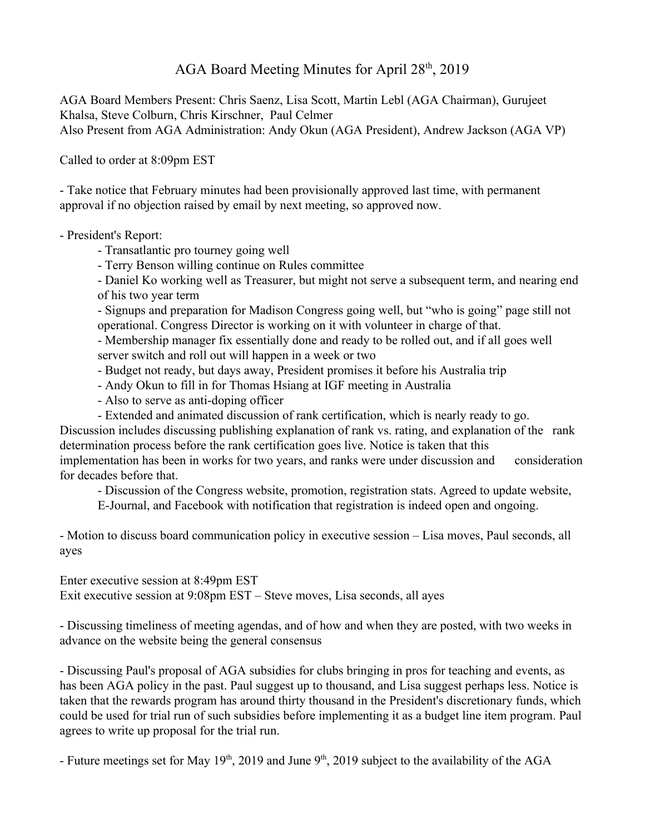## AGA Board Meeting Minutes for April 28<sup>th</sup>, 2019

AGA Board Members Present: Chris Saenz, Lisa Scott, Martin Lebl (AGA Chairman), Gurujeet Khalsa, Steve Colburn, Chris Kirschner, Paul Celmer Also Present from AGA Administration: Andy Okun (AGA President), Andrew Jackson (AGA VP)

Called to order at 8:09pm EST

- Take notice that February minutes had been provisionally approved last time, with permanent approval if no objection raised by email by next meeting, so approved now.

- President's Report:

- Transatlantic pro tourney going well
- Terry Benson willing continue on Rules committee

- Daniel Ko working well as Treasurer, but might not serve a subsequent term, and nearing end of his two year term

- Signups and preparation for Madison Congress going well, but "who is going" page still not operational. Congress Director is working on it with volunteer in charge of that.

- Membership manager fix essentially done and ready to be rolled out, and if all goes well server switch and roll out will happen in a week or two

- Budget not ready, but days away, President promises it before his Australia trip
- Andy Okun to fill in for Thomas Hsiang at IGF meeting in Australia
- Also to serve as anti-doping officer
- Extended and animated discussion of rank certification, which is nearly ready to go.

Discussion includes discussing publishing explanation of rank vs. rating, and explanation of the rank determination process before the rank certification goes live. Notice is taken that this

implementation has been in works for two years, and ranks were under discussion and consideration for decades before that.

- Discussion of the Congress website, promotion, registration stats. Agreed to update website,

E-Journal, and Facebook with notification that registration is indeed open and ongoing.

- Motion to discuss board communication policy in executive session – Lisa moves, Paul seconds, all ayes

Enter executive session at 8:49pm EST Exit executive session at 9:08pm EST – Steve moves, Lisa seconds, all ayes

- Discussing timeliness of meeting agendas, and of how and when they are posted, with two weeks in advance on the website being the general consensus

- Discussing Paul's proposal of AGA subsidies for clubs bringing in pros for teaching and events, as has been AGA policy in the past. Paul suggest up to thousand, and Lisa suggest perhaps less. Notice is taken that the rewards program has around thirty thousand in the President's discretionary funds, which could be used for trial run of such subsidies before implementing it as a budget line item program. Paul agrees to write up proposal for the trial run.

- Future meetings set for May 19<sup>th</sup>, 2019 and June 9<sup>th</sup>, 2019 subject to the availability of the AGA